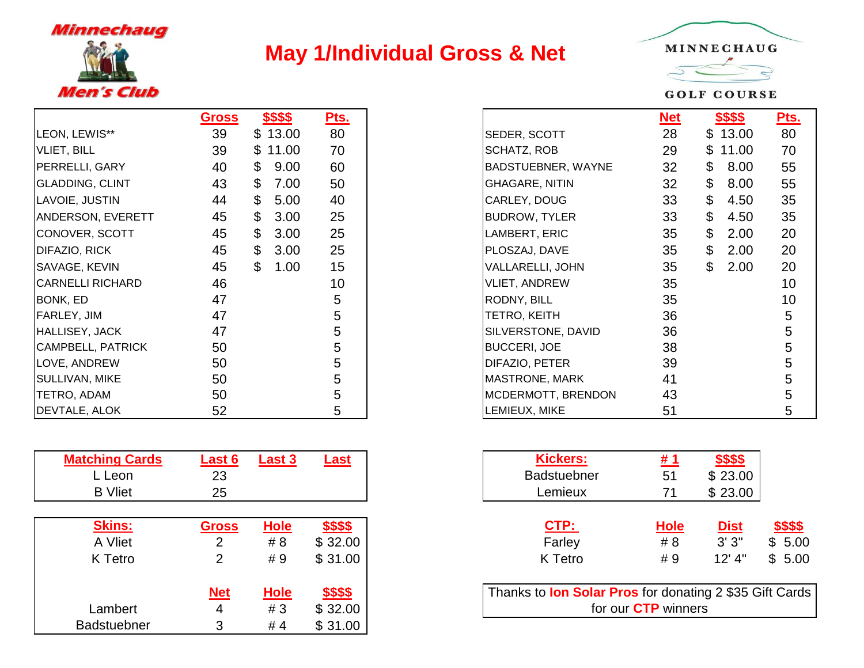

## **May 1/Individual Gross & Net**



LEON, LEWIS\*\* 39 \$ 13.00 80 | |SEDER, SCOTT 28 \$ 13.00 80 VLIET, BILL 39 \$ 11.00 70 SCHATZ, ROB 29 \$ 11.00 70 PERRELLI, GARY 40 \$ 9.00 60 | |BADSTUEBNER, WAYNE 32 \$ 8.00 55 GLADDING, CLINT 43 \$ 7.00 50 LAVOIE, JUSTIN 44 \$ 5.00 40 CARLEY, DOUG 33 \$ 4.50 35 ANDERSON, EVERETT 45 \$ 3.00 25 CONOVER, SCOTT 45 \$ 3.00 25 DIFAZIO, RICK 45 \$ 3.00 25 | |PLOSZAJ, DAVE 35 \$ 2.00 20 SAVAGE, KEVIN 45 \$ 1.00 15 VALLARELLI, JOHN 35 \$ 2.00 20 CARNELLI RICHARD 46 10 BONK, ED 47 5 RODNY, BILL 35 10 FARLEY, JIM 47 5 TETRO, KEITH 36 5 HALLISEY, JACK 47 5 CAMPBELL, PATRICK 50 5 LOVE, ANDREW 50 5 | DIFAZIO, PETER 39 5 SULLIVAN, MIKE 50 5 | MASTRONE, MARK 41 5 TETRO, ADAM 50 5 MCDERMOTT, BRENDON 43 5 DEVTALE, ALOK 52 5

| <b>Matching Cards</b> | Last 6         | Last 3      | Last     |
|-----------------------|----------------|-------------|----------|
| L Leon                | 23             |             |          |
| <b>B</b> Vliet        | 25             |             |          |
|                       |                |             |          |
| <b>Skins:</b>         | Gross          | <b>Hole</b> | \$\$\$\$ |
| A Vliet               | $\overline{2}$ | # 8         | \$32.00  |
| K Tetro               | $\overline{2}$ | #9          | \$31.00  |
|                       |                |             |          |
|                       | <b>Net</b>     | <u>Hole</u> | \$\$\$\$ |
| Lambert               | 4              | #3          | \$32.00  |
| <b>Badstuebner</b>    | 3              | # 4         | \$31.00  |

| <b>Gross</b> | \$\$\$\$   | <u>Pts.</u> |                       | <b>Net</b> | \$\$\$\$    | <u>Pts.</u> |
|--------------|------------|-------------|-----------------------|------------|-------------|-------------|
| 39           | \$13.00    | 80          | SEDER, SCOTT          | 28         | \$13.00     | 80          |
| 39           | \$11.00    | 70          | SCHATZ, ROB           | 29         | 11.00<br>\$ | 70          |
| 40           | \$<br>9.00 | 60          | BADSTUEBNER, WAYNE    | 32         | \$<br>8.00  | 55          |
| 43           | \$<br>7.00 | 50          | <b>GHAGARE, NITIN</b> | 32         | \$<br>8.00  | 55          |
| 44           | \$<br>5.00 | 40          | CARLEY, DOUG          | 33         | \$<br>4.50  | 35          |
| 45           | \$<br>3.00 | 25          | <b>BUDROW, TYLER</b>  | 33         | \$<br>4.50  | 35          |
| 45           | \$<br>3.00 | 25          | LAMBERT, ERIC         | 35         | \$<br>2.00  | 20          |
| 45           | \$<br>3.00 | 25          | PLOSZAJ, DAVE         | 35         | \$<br>2.00  | 20          |
| 45           | \$<br>1.00 | 15          | VALLARELLI, JOHN      | 35         | \$<br>2.00  | 20          |
| 46           |            | 10          | <b>VLIET, ANDREW</b>  | 35         |             | 10          |
| 47           |            | 5           | RODNY, BILL           | 35         |             | 10          |
| 47           |            | 5           | TETRO, KEITH          | 36         |             | 5           |
| 47           |            | 5           | SILVERSTONE, DAVID    | 36         |             | 5           |
| 50           |            | 5           | <b>BUCCERI, JOE</b>   | 38         |             | 5           |
| 50           |            | 5           | DIFAZIO, PETER        | 39         |             | 5           |
| 50           |            | 5           | <b>MASTRONE, MARK</b> | 41         |             | 5           |
| 50           |            | 5           | MCDERMOTT, BRENDON    | 43         |             | 5           |
| 52           |            | 5           | LEMIEUX, MIKE         | 51         |             | 5           |

| <b>Last 6</b>  | Last 3      | <u>Last</u>     | <b>Kickers:</b>                                                | <u># 1</u>                 | <u>\$\$\$\$</u> |          |
|----------------|-------------|-----------------|----------------------------------------------------------------|----------------------------|-----------------|----------|
| 23             |             |                 | <b>Badstuebner</b>                                             | 51                         | \$23.00         |          |
| 25             |             |                 | Lemieux                                                        | 71                         | \$23.00         |          |
|                |             |                 |                                                                |                            |                 |          |
| <b>Gross</b>   | <b>Hole</b> | <u>\$\$\$\$</u> | <u>CTP:</u>                                                    | <b>Hole</b>                | <b>Dist</b>     | \$\$\$\$ |
| 2              | # 8         | \$32.00         | Farley                                                         | # 8                        | 3'3''           | \$5.00   |
| $\overline{2}$ | #9          | \$31.00         | K Tetro                                                        | #9                         | $12'$ 4"        | \$5.00   |
| <b>Net</b>     | <b>Hole</b> | <u>\$\$\$\$</u> | Thanks to <b>Ion Solar Pros</b> for donating 2 \$35 Gift Cards |                            |                 |          |
| 4              | #3          | \$32.00         |                                                                | for our <b>CTP</b> winners |                 |          |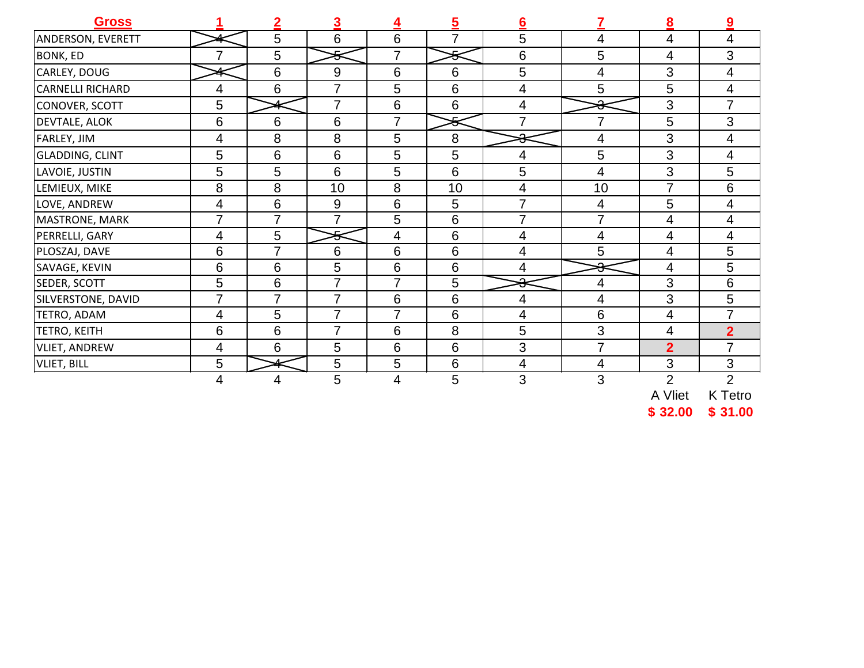| <b>Gross</b>            |   | 2              | 3              | <u>4</u>       | $\overline{5}$ | $\underline{6}$ | 7              | 8              | 9              |
|-------------------------|---|----------------|----------------|----------------|----------------|-----------------|----------------|----------------|----------------|
| ANDERSON, EVERETT       |   | 5              | 6              | 6              | $\overline{7}$ | 5               | 4              | 4              | 4              |
| <b>BONK, ED</b>         | 7 | 5              | <del>≮</del>   | 7              | 长              | 6               | 5              | 4              | 3              |
| CARLEY, DOUG            |   | 6              | 9              | 6              | 6              | 5               | 4              | 3              | 4              |
| <b>CARNELLI RICHARD</b> | 4 | 6              | $\overline{7}$ | 5              | 6              | 4               | 5              | 5              | 4              |
| CONOVER, SCOTT          | 5 |                | $\overline{7}$ | 6              | 6              | 4               | $\Omega$<br>っ  | 3              | 7              |
| DEVTALE, ALOK           | 6 | 6              | 6              | $\overline{7}$ | ىمى            | 7               | $\overline{7}$ | 5              | 3              |
| FARLEY, JIM             | 4 | 8              | 8              | 5              | 8              | $\Omega$        | 4              | 3              | 4              |
| <b>GLADDING, CLINT</b>  | 5 | 6              | 6              | 5              | 5              | 4               | 5              | 3              | 4              |
| LAVOIE, JUSTIN          | 5 | 5              | 6              | 5              | 6              | 5               | 4              | 3              | 5              |
| LEMIEUX, MIKE           | 8 | 8              | 10             | 8              | 10             | $\overline{4}$  | 10             | $\overline{7}$ | 6              |
| LOVE, ANDREW            | 4 | 6              | 9              | 6              | 5              | $\overline{7}$  | 4              | 5              | 4              |
| MASTRONE, MARK          | 7 | $\overline{7}$ | 7              | 5              | 6              | $\overline{7}$  | $\overline{7}$ | 4              | 4              |
| PERRELLI, GARY          | 4 | 5              | $\bar{\ast}$   | 4              | 6              | $\overline{4}$  | 4              | 4              | 4              |
| PLOSZAJ, DAVE           | 6 | $\overline{7}$ | $6\phantom{1}$ | 6              | 6              | 4               | 5              | 4              | 5              |
| SAVAGE, KEVIN           | 6 | 6              | 5              | 6              | 6              | 4               | $\Omega$<br>ᢦ  | 4              | 5              |
| SEDER, SCOTT            | 5 | 6              | $\overline{7}$ | $\overline{7}$ | 5              | $\Omega$<br>ᢦ   | 4              | 3              | $6\,$          |
| SILVERSTONE, DAVID      | 7 | 7              | $\overline{7}$ | 6              | 6              | 4               | 4              | 3              | 5              |
| TETRO, ADAM             | 4 | 5              | $\overline{7}$ | $\overline{7}$ | 6              | 4               | 6              | 4              |                |
| TETRO, KEITH            | 6 | 6              | $\overline{7}$ | 6              | 8              | 5               | 3              | 4              | $\overline{2}$ |
| <b>VLIET, ANDREW</b>    | 4 | 6              | 5              | 6              | 6              | 3               | $\overline{7}$ | $\overline{2}$ | $\overline{7}$ |
| <b>VLIET, BILL</b>      | 5 |                | 5              | 5              | 6              | 4               | 4              | 3              | 3              |
|                         | 4 | 4              | 5              | 4              | 5              | 3               | 3              | $\overline{2}$ | $\overline{2}$ |

A Vliet K Tetro **\$ 32.00 \$ 31.00**